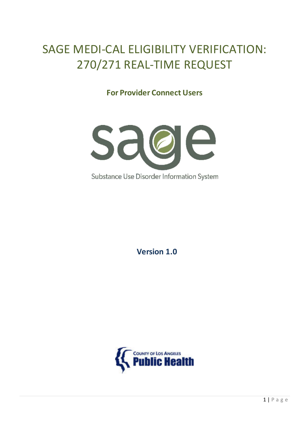# SAGE MEDI-CAL ELIGIBILITY VERIFICATION: 270/271 REAL-TIME REQUEST

**For Provider Connect Users**



**Version 1.0**

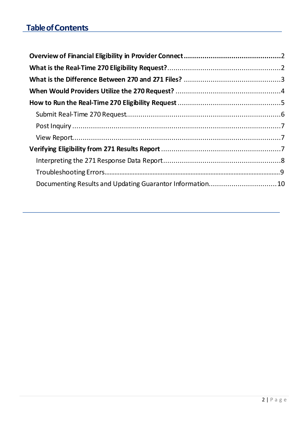# **Table of Contents**

| Documenting Results and Updating Guarantor Information10 |  |
|----------------------------------------------------------|--|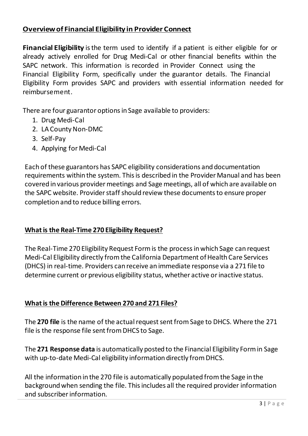# **Overview of Financial Eligibility in Provider Connect**

**Financial Eligibility** is the term used to identify if a patient is either eligible for or already actively enrolled for Drug Medi-Cal or other financial benefits within the SAPC network. This information is recorded in Provider Connect using the Financial Eligibility Form, specifically under the guarantor details. The Financial Eligibility Form provides SAPC and providers with essential information needed for reimbursement.

There are four guarantor options in Sage available to providers:

- 1. Drug Medi-Cal
- 2. LA County Non-DMC
- 3. Self-Pay
- 4. Applying for Medi-Cal

Each of these guarantors has SAPC eligibility considerations and documentation requirements within the system. This is described in the Provider Manual and has been covered in various provider meetings and Sage meetings, all of which are available on the SAPC website. Provider staff should review these documents to ensure proper completion and to reduce billing errors.

# **What is the Real-Time 270 Eligibility Request?**

The Real-Time 270 Eligibility Request Formis the process in which Sage can request Medi-Cal Eligibility directly from the California Department of Health Care Services (DHCS) in real-time. Providers can receive an immediate response via a 271 file to determine current or previous eligibility status, whether active or inactive status.

# **What is the Difference Between 270 and 271 Files?**

The **270 file** is the name of the actual request sent from Sage to DHCS. Where the 271 file is the response file sent from DHCS to Sage.

The **271 Response data** is automatically posted to the Financial Eligibility Form in Sage with up-to-date Medi-Cal eligibility information directly from DHCS.

All the information in the 270 file is automatically populated from the Sage in the background when sending the file. This includes all the required provider information and subscriber information.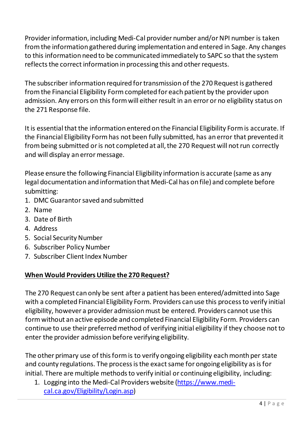Provider information, including Medi-Cal provider number and/or NPI number is taken from the information gathered during implementation and entered in Sage. Any changes to this information need to be communicated immediately to SAPC so that the system reflects the correct information in processing this and other requests.

The subscriber information required for transmission of the 270 Request is gathered from the Financial Eligibility Form completed for each patient by the provider upon admission. Any errors on this form will either result in an error or no eligibility status on the 271 Response file.

It is essential that the information entered on the Financial Eligibility Form is accurate. If the Financial Eligibility Form has not been fully submitted, has an error that prevented it from being submitted or is not completed at all, the 270 Request will not run correctly and will display an error message.

Please ensure the following Financial Eligibility information is accurate (same as any legal documentation and information that Medi-Cal has on file) and complete before submitting:

- 1. DMC Guarantor saved and submitted
- 2. Name
- 3. Date of Birth
- 4. Address
- 5. Social Security Number
- 6. Subscriber Policy Number
- 7. Subscriber Client Index Number

# **When Would Providers Utilize the 270 Request?**

The 270 Request can only be sent after a patient has been entered/admitted into Sage with a completed Financial Eligibility Form. Providers can use this process to verify initial eligibility, however a provider admission must be entered. Providers cannot use this form without an active episode and completed Financial Eligibility Form. Providers can continue to use their preferred method of verifying initial eligibility if they choose not to enter the provider admission before verifying eligibility.

The other primary use of this form is to verify ongoing eligibility each month per state and county regulations. The process is the exact same for ongoing eligibility as is for initial. There are multiple methods to verify initial or continuing eligibility, including:

1. Logging into the Medi-Cal Providers website [\(https://www.medi](https://www.medi-cal.ca.gov/Eligibility/Login.asp)[cal.ca.gov/Eligibility/Login.asp](https://www.medi-cal.ca.gov/Eligibility/Login.asp))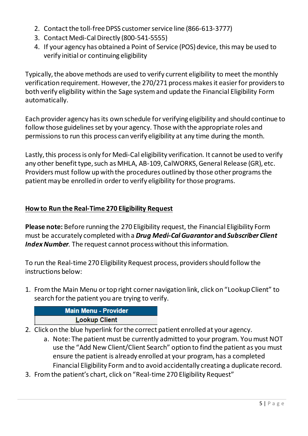- 2. Contact the toll-free DPSS customer service line (866-613-3777)
- 3. Contact Medi-Cal Directly (800-541-5555)
- 4. If your agency has obtained a Point of Service (POS) device, this may be used to verify initial or continuing eligibility

Typically, the above methods are used to verify current eligibility to meet the monthly verification requirement. However, the 270/271 process makesit easier for providers to both verify eligibility within the Sage system and update the Financial Eligibility Form automatically.

Each provider agency has its own schedule for verifying eligibility and should continue to follow those guidelines set by your agency. Those with the appropriate roles and permissionsto run this process can verify eligibility at any time during the month.

Lastly, this process is only for Medi-Cal eligibility verification. It cannot be used to verify any other benefit type, such as MHLA, AB-109, CalWORKS, General Release (GR), etc. Providers must follow up with the procedures outlined by those other programs the patient may be enrolled in order to verify eligibility for those programs.

# **How to Run the Real-Time 270 Eligibility Request**

**Please note:** Before running the 270 Eligibility request, the Financial Eligibility Form must be accurately completed with a *Drug Medi-Cal Guarantor* **and** *Subscriber Client*  **Index Number**. The request cannot process without this information.

To run the Real-time 270 Eligibility Request process, providers should follow the instructions below:

1. From the Main Menu or top right corner navigation link, click on "Lookup Client" to search for the patient you are trying to verify.

| <b>Main Menu - Provider</b> |  |
|-----------------------------|--|
| <b>Lookup Client</b>        |  |

- 2. Click on the blue hyperlink for the correct patient enrolled at your agency.
	- a. Note: The patient must be currently admitted to your program. You must NOT use the "Add New Client/Client Search" option to find the patient as you must ensure the patient is already enrolled at your program, has a completed Financial Eligibility Form and to avoid accidentally creating a duplicate record.
- 3. From the patient's chart, click on "Real-time 270 Eligibility Request"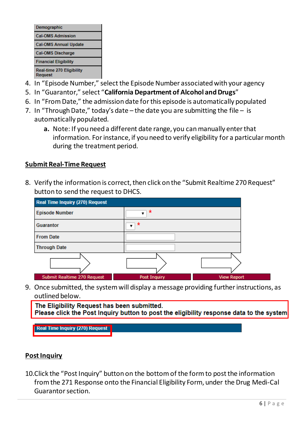| Demographic                          |
|--------------------------------------|
| <b>Cal-OMS Admission</b>             |
| <b>Cal-OMS Annual Update</b>         |
| Cal-OMS Discharge                    |
| <b>Financial Eligibility</b>         |
| Real-time 270 Eligibility<br>Request |

- 4. In "Episode Number," select the Episode Number associated with your agency
- 5. In "Guarantor," select "**California Department of Alcohol and Drugs**"
- 6. In "From Date," the admission date for this episode is automatically populated
- 7. In "Through Date," today's date the date you are submitting the file is automatically populated.
	- **a.** Note: If you need a different date range, you can manually enter that information. For instance, if you need to verify eligibility for a particular month during the treatment period.

#### **Submit Real-Time Request**

8. Verify the information is correct, then click on the "Submit Realtime 270 Request" button to send the request to DHCS.

| <b>Real Time Inquiry (270) Request</b> |              |                    |  |
|----------------------------------------|--------------|--------------------|--|
| <b>Episode Number</b>                  | ∗            |                    |  |
| Guarantor                              | *            |                    |  |
| <b>From Date</b>                       |              |                    |  |
| <b>Through Date</b>                    |              |                    |  |
|                                        |              |                    |  |
| Submit Realtime 270 Request            | Post Inquiry | <b>View Report</b> |  |

9. Once submitted, the system will display a message providing further instructions, as outlined below.

The Eligibility Request has been submitted. Please click the Post Inquiry button to post the eligibility response data to the system

**Real Time Inquiry (270) Request** 

#### **Post Inquiry**

10.Click the "Post Inquiry" button on the bottom of the form to post the information from the 271 Response onto the Financial Eligibility Form, under the Drug Medi-Cal Guarantor section.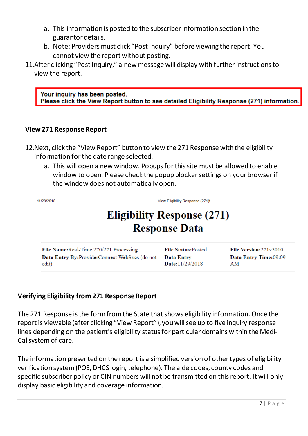- a. This information is posted to the subscriber information section in the guarantor details.
- b. Note: Providers must click "Post Inquiry" before viewing the report. You cannot view the report without posting.
- 11.After clicking "Post Inquiry," a new message will display with further instructions to view the report.

Your inquiry has been posted. Please click the View Report button to see detailed Eligibility Response (271) information.

#### **View 271 Response Report**

- 12.Next, click the "View Report" button to view the 271 Response with the eligibility information for the date range selected.
	- a. This will open a new window. Popups for this site must be allowed to enable window to open. Please check the popup blocker settings on your browserif the window does not automatically open.

11/29/2018

View Eligibility Response (271)t

# **Eligibility Response (271) Response Data**

File Name:Real-Time 270/271 Processing File Status:Posted Data Entry By:ProviderConnect WebSvcs (do not **Data Entry** Date:11/29/2018 edit)

File Version: 271v5010 Data Entry Time:09:09  $AM$ 

# **Verifying Eligibility from 271 Response Report**

The 271 Response is the form from the State that shows eligibility information. Once the report is viewable (after clicking "View Report"), you will see up to five inquiry response lines depending on the patient's eligibility status for particular domains within the Medi-Cal system of care.

The information presented on the report is a simplified version of other types of eligibility verification system (POS, DHCS login, telephone). The aide codes, county codes and specific subscriber policy or CIN numbers will not be transmitted on this report. It will only display basic eligibility and coverage information.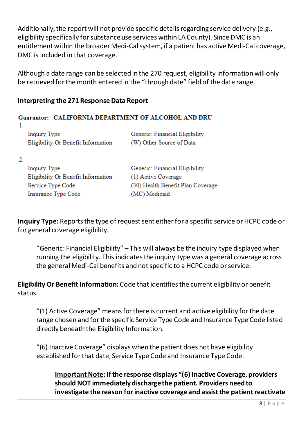Additionally, the report will not provide specific details regarding service delivery (e.g., eligibility specifically for substance use services within LA County). Since DMC is an entitlement within the broader Medi-Cal system, if a patient has active Medi-Cal coverage, DMC is included in that coverage.

Although a date range can be selected in the 270 request, eligibility information will only be retrieved for the month entered in the "through date" field of the date range.

#### **Interpreting the 271 Response Data Report**

#### **Guarantor: CALIFORNIA DEPARTMENT OF ALCOHOL AND DRU**  $1.$

| Inquiry Type                       | Generic: Financial Eligibility |
|------------------------------------|--------------------------------|
| Eligibility Or Benefit Information | (W) Other Source of Data       |

2.

**Inquiry Type** Eligibility Or Benefit Information Service Type Code Insurance Type Code

Generic: Financial Eligibility (1) Active Coverage (30) Health Benefit Plan Coverage (MC) Medicaid

**Inquiry Type:** Reports the type of request sent either for a specific service or HCPC code or for general coverage eligibility.

"Generic: Financial Eligibility" – This will always be the inquiry type displayed when running the eligibility. This indicates the inquiry type was a general coverage across the general Medi-Cal benefits and not specific to a HCPC code or service.

**Eligibility Or Benefit Information:** Code that identifies the current eligibility or benefit status.

"(1) Active Coverage" means for there is current and active eligibility for the date range chosen and for the specific Service Type Code and Insurance Type Code listed directly beneath the Eligibility Information.

"(6) Inactive Coverage" displays when the patient does not have eligibility established for that date, Service Type Code and Insurance Type Code.

**Important Note: If the response displays "(6) Inactive Coverage, providers should NOT immediately discharge the patient. Providers need to investigate the reason for inactive coverage and assist the patient reactivate**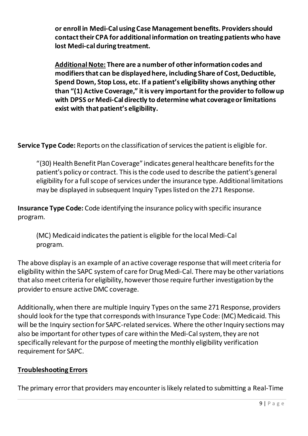**or enroll in Medi-Cal using Case Management benefits. Providers should contact their CPA for additional information on treating patients who have lost Medi-cal during treatment.** 

**Additional Note: There are a number of other information codes and modifiersthat can be displayed here, including Share of Cost, Deductible, Spend Down, Stop Loss, etc. If a patient's eligibility shows anything other than "(1) Active Coverage," it is very important for the provider to follow up with DPSS or Medi-Cal directly to determine what coverage or limitations exist with that patient's eligibility.** 

**Service Type Code:** Reports on the classification of services the patient is eligible for.

"(30) Health Benefit Plan Coverage" indicates general healthcare benefits for the patient's policy or contract. This is the code used to describe the patient's general eligibility for a full scope of services under the insurance type. Additional limitations may be displayed in subsequent Inquiry Types listed on the 271 Response.

**Insurance Type Code:** Code identifying the insurance policy with specific insurance program.

(MC) Medicaid indicates the patient is eligible for the local Medi-Cal program.

The above display is an example of an active coverage response that will meet criteria for eligibility within the SAPC system of care for Drug Medi-Cal. There may be other variations that also meet criteria for eligibility, however those require further investigation by the provider to ensure active DMC coverage.

Additionally, when there are multiple Inquiry Types on the same 271 Response, providers should look for the type that corresponds with Insurance Type Code: (MC) Medicaid. This will be the Inquiry section for SAPC-related services. Where the other Inquiry sections may also be important for other types of care within the Medi-Cal system, they are not specifically relevant for the purpose of meeting the monthly eligibility verification requirement for SAPC.

# **Troubleshooting Errors**

The primary error that providers may encounter is likely related to submitting a Real-Time